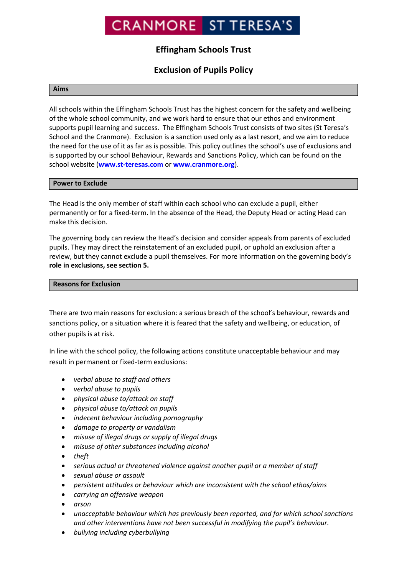# **CRANMORE ST TERESA'S**

# **Effingham Schools Trust**

# **Exclusion of Pupils Policy**

# **Aims**

All schools within the Effingham Schools Trust has the highest concern for the safety and wellbeing of the whole school community, and we work hard to ensure that our ethos and environment supports pupil learning and success. The Effingham Schools Trust consists of two sites (St Teresa's School and the Cranmore). Exclusion is a sanction used only as a last resort, and we aim to reduce the need for the use of it as far as is possible. This policy outlines the school's use of exclusions and is supported by our school Behaviour, Rewards and Sanctions Policy, which can be found on the school website (**[www.st-teresas.com](http://www.st-teresas.com/)** or **[www.cranmore.org](http://www.cranmore.org/)**).

# **Power to Exclude**

The Head is the only member of staff within each school who can exclude a pupil, either permanently or for a fixed-term. In the absence of the Head, the Deputy Head or acting Head can make this decision.

The governing body can review the Head's decision and consider appeals from parents of excluded pupils. They may direct the reinstatement of an excluded pupil, or uphold an exclusion after a review, but they cannot exclude a pupil themselves. For more information on the governing body's **role in exclusions, see section 5.**

# **Reasons for Exclusion**

There are two main reasons for exclusion: a serious breach of the school's behaviour, rewards and sanctions policy, or a situation where it is feared that the safety and wellbeing, or education, of other pupils is at risk.

In line with the school policy, the following actions constitute unacceptable behaviour and may result in permanent or fixed-term exclusions:

- *verbal abuse to staff and others*
- *verbal abuse to pupils*
- *physical abuse to/attack on staff*
- *physical abuse to/attack on pupils*
- *indecent behaviour including pornography*
- *damage to property or vandalism*
- *misuse of illegal drugs or supply of illegal drugs*
- *misuse of other substances including alcohol*
- *theft*
- *serious actual or threatened violence against another pupil or a member of staff*
- *sexual abuse or assault*
- *persistent attitudes or behaviour which are inconsistent with the school ethos/aims*
- *carrying an offensive weapon*
- *arson*
- *unacceptable behaviour which has previously been reported, and for which school sanctions and other interventions have not been successful in modifying the pupil's behaviour.*
- *bullying including cyberbullying*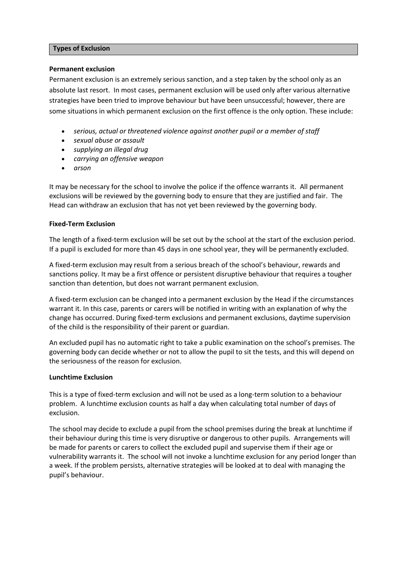# **Types of Exclusion**

### **Permanent exclusion**

Permanent exclusion is an extremely serious sanction, and a step taken by the school only as an absolute last resort. In most cases, permanent exclusion will be used only after various alternative strategies have been tried to improve behaviour but have been unsuccessful; however, there are some situations in which permanent exclusion on the first offence is the only option. These include:

- *serious, actual or threatened violence against another pupil or a member of staff*
- *sexual abuse or assault*
- *supplying an illegal drug*
- *carrying an offensive weapon*
- *arson*

It may be necessary for the school to involve the police if the offence warrants it. All permanent exclusions will be reviewed by the governing body to ensure that they are justified and fair. The Head can withdraw an exclusion that has not yet been reviewed by the governing body.

# **Fixed-Term Exclusion**

The length of a fixed-term exclusion will be set out by the school at the start of the exclusion period. If a pupil is excluded for more than 45 days in one school year, they will be permanently excluded.

A fixed-term exclusion may result from a serious breach of the school's behaviour, rewards and sanctions policy. It may be a first offence or persistent disruptive behaviour that requires a tougher sanction than detention, but does not warrant permanent exclusion.

A fixed-term exclusion can be changed into a permanent exclusion by the Head if the circumstances warrant it. In this case, parents or carers will be notified in writing with an explanation of why the change has occurred. During fixed-term exclusions and permanent exclusions, daytime supervision of the child is the responsibility of their parent or guardian.

An excluded pupil has no automatic right to take a public examination on the school's premises. The governing body can decide whether or not to allow the pupil to sit the tests, and this will depend on the seriousness of the reason for exclusion.

# **Lunchtime Exclusion**

This is a type of fixed-term exclusion and will not be used as a long-term solution to a behaviour problem. A lunchtime exclusion counts as half a day when calculating total number of days of exclusion.

The school may decide to exclude a pupil from the school premises during the break at lunchtime if their behaviour during this time is very disruptive or dangerous to other pupils. Arrangements will be made for parents or carers to collect the excluded pupil and supervise them if their age or vulnerability warrants it. The school will not invoke a lunchtime exclusion for any period longer than a week. If the problem persists, alternative strategies will be looked at to deal with managing the pupil's behaviour.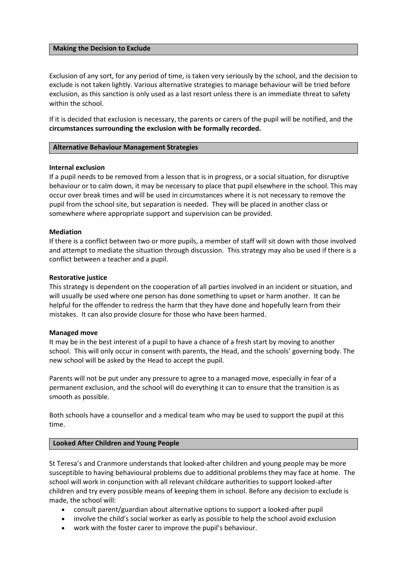#### **Making the Decision to Exclude**

Exclusion of any sort, for any period of time, is taken very seriously by the school, and the decision to exclude is not taken lightly. Various alternative strategies to manage behaviour will be tried before exclusion, as this sanction is only used as a last resort unless there is an immediate threat to safety within the school.

If it is decided that exclusion is necessary, the parents or carers of the pupil will be notified, and the **circumstances surrounding the exclusion with be formally recorded.**

#### **Alternative Behaviour Management Strategies**

#### **Internal exclusion**

If a pupil needs to be removed from a lesson that is in progress, or a social situation, for disruptive behaviour or to calm down, it may be necessary to place that pupil elsewhere in the school. This may occur over break times and will be used in circumstances where it is not necessary to remove the pupil from the school site, but separation is needed. They will be placed in another class or somewhere where appropriate support and supervision can be provided.

#### **Mediation**

If there is a conflict between two or more pupils, a member of staff will sit down with those involved and attempt to mediate the situation through discussion. This strategy may also be used if there is a conflict between a teacher and a pupil.

#### **Restorative justice**

This strategy is dependent on the cooperation of all parties involved in an incident or situation, and will usually be used where one person has done something to upset or harm another. It can be helpful for the offender to redress the harm that they have done and hopefully learn from their mistakes. It can also provide closure for those who have been harmed.

#### **Managed move**

It may be in the best interest of a pupil to have a chance of a fresh start by moving to another school. This will only occur in consent with parents, the Head, and the schools' governing body. The new school will be asked by the Head to accept the pupil.

Parents will not be put under any pressure to agree to a managed move, especially in fear of a permanent exclusion, and the school will do everything it can to ensure that the transition is as smooth as possible.

Both schools have a counsellor and a medical team who may be used to support the pupil at this time.

# **Looked After Children and Young People**

St Teresa's and Cranmore understands that looked-after children and young people may be more susceptible to having behavioural problems due to additional problems they may face at home. The school will work in conjunction with all relevant childcare authorities to support looked-after children and try every possible means of keeping them in school. Before any decision to exclude is made, the school will:

- consult parent/guardian about alternative options to support a looked-after pupil
- involve the child's social worker as early as possible to help the school avoid exclusion
- work with the foster carer to improve the pupil's behaviour.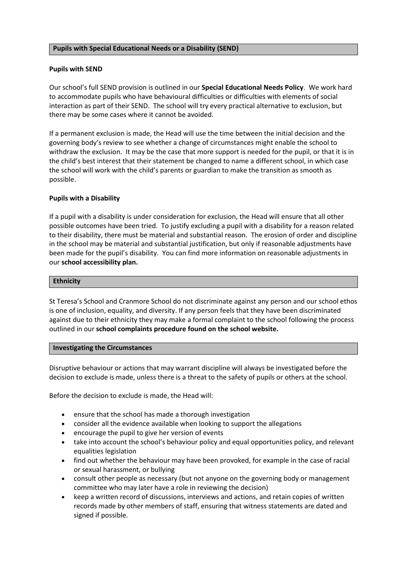# **Pupils with Special Educational Needs or a Disability (SEND)**

### **Pupils with SEND**

Our school's full SEND provision is outlined in our **Special Educational Needs Policy**. We work hard to accommodate pupils who have behavioural difficulties or difficulties with elements of social interaction as part of their SEND. The school will try every practical alternative to exclusion, but there may be some cases where it cannot be avoided.

If a permanent exclusion is made, the Head will use the time between the initial decision and the governing body's review to see whether a change of circumstances might enable the school to withdraw the exclusion. It may be the case that more support is needed for the pupil, or that it is in the child's best interest that their statement be changed to name a different school, in which case the school will work with the child's parents or guardian to make the transition as smooth as possible.

# **Pupils with a Disability**

If a pupil with a disability is under consideration for exclusion, the Head will ensure that all other possible outcomes have been tried. To justify excluding a pupil with a disability for a reason related to their disability, there must be material and substantial reason. The erosion of order and discipline in the school may be material and substantial justification, but only if reasonable adjustments have been made for the pupil's disability. You can find more information on reasonable adjustments in our **school accessibility plan.**

#### **Ethnicity**

St Teresa's School and Cranmore School do not discriminate against any person and our school ethos is one of inclusion, equality, and diversity. If any person feels that they have been discriminated against due to their ethnicity they may make a formal complaint to the school following the process outlined in our **school complaints procedure found on the school website.**

#### **Investigating the Circumstances**

Disruptive behaviour or actions that may warrant discipline will always be investigated before the decision to exclude is made, unless there is a threat to the safety of pupils or others at the school.

Before the decision to exclude is made, the Head will:

- ensure that the school has made a thorough investigation
- consider all the evidence available when looking to support the allegations
- encourage the pupil to give her version of events
- take into account the school's behaviour policy and equal opportunities policy, and relevant equalities legislation
- find out whether the behaviour may have been provoked, for example in the case of racial or sexual harassment, or bullying
- consult other people as necessary (but not anyone on the governing body or management committee who may later have a role in reviewing the decision)
- keep a written record of discussions, interviews and actions, and retain copies of written records made by other members of staff, ensuring that witness statements are dated and signed if possible.